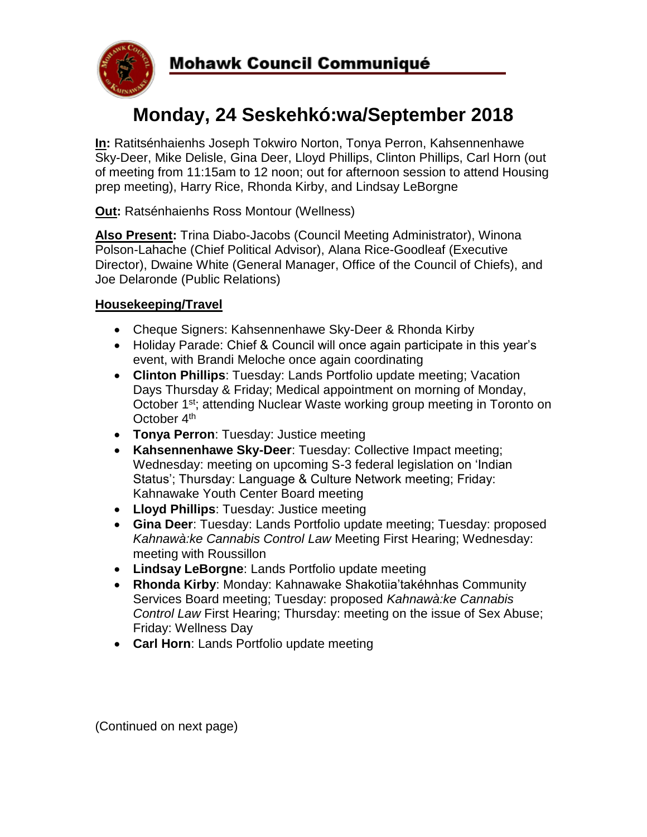

# **Monday, 24 Seskehkó:wa/September 2018**

**In:** Ratitsénhaienhs Joseph Tokwiro Norton, Tonya Perron, Kahsennenhawe Sky-Deer, Mike Delisle, Gina Deer, Lloyd Phillips, Clinton Phillips, Carl Horn (out of meeting from 11:15am to 12 noon; out for afternoon session to attend Housing prep meeting), Harry Rice, Rhonda Kirby, and Lindsay LeBorgne

**Out:** Ratsénhaienhs Ross Montour (Wellness)

**Also Present:** Trina Diabo-Jacobs (Council Meeting Administrator), Winona Polson-Lahache (Chief Political Advisor), Alana Rice-Goodleaf (Executive Director), Dwaine White (General Manager, Office of the Council of Chiefs), and Joe Delaronde (Public Relations)

## **Housekeeping/Travel**

- Cheque Signers: Kahsennenhawe Sky-Deer & Rhonda Kirby
- Holiday Parade: Chief & Council will once again participate in this year's event, with Brandi Meloche once again coordinating
- **Clinton Phillips**: Tuesday: Lands Portfolio update meeting; Vacation Days Thursday & Friday; Medical appointment on morning of Monday, October 1<sup>st</sup>; attending Nuclear Waste working group meeting in Toronto on October 4<sup>th</sup>
- **Tonya Perron**: Tuesday: Justice meeting
- **Kahsennenhawe Sky-Deer**: Tuesday: Collective Impact meeting; Wednesday: meeting on upcoming S-3 federal legislation on 'Indian Status'; Thursday: Language & Culture Network meeting; Friday: Kahnawake Youth Center Board meeting
- **Lloyd Phillips**: Tuesday: Justice meeting
- **Gina Deer**: Tuesday: Lands Portfolio update meeting; Tuesday: proposed *Kahnawà:ke Cannabis Control Law* Meeting First Hearing; Wednesday: meeting with Roussillon
- **Lindsay LeBorgne**: Lands Portfolio update meeting
- **Rhonda Kirby**: Monday: Kahnawake Shakotiia'takéhnhas Community Services Board meeting; Tuesday: proposed *Kahnawà:ke Cannabis Control Law* First Hearing; Thursday: meeting on the issue of Sex Abuse; Friday: Wellness Day
- **Carl Horn**: Lands Portfolio update meeting

(Continued on next page)